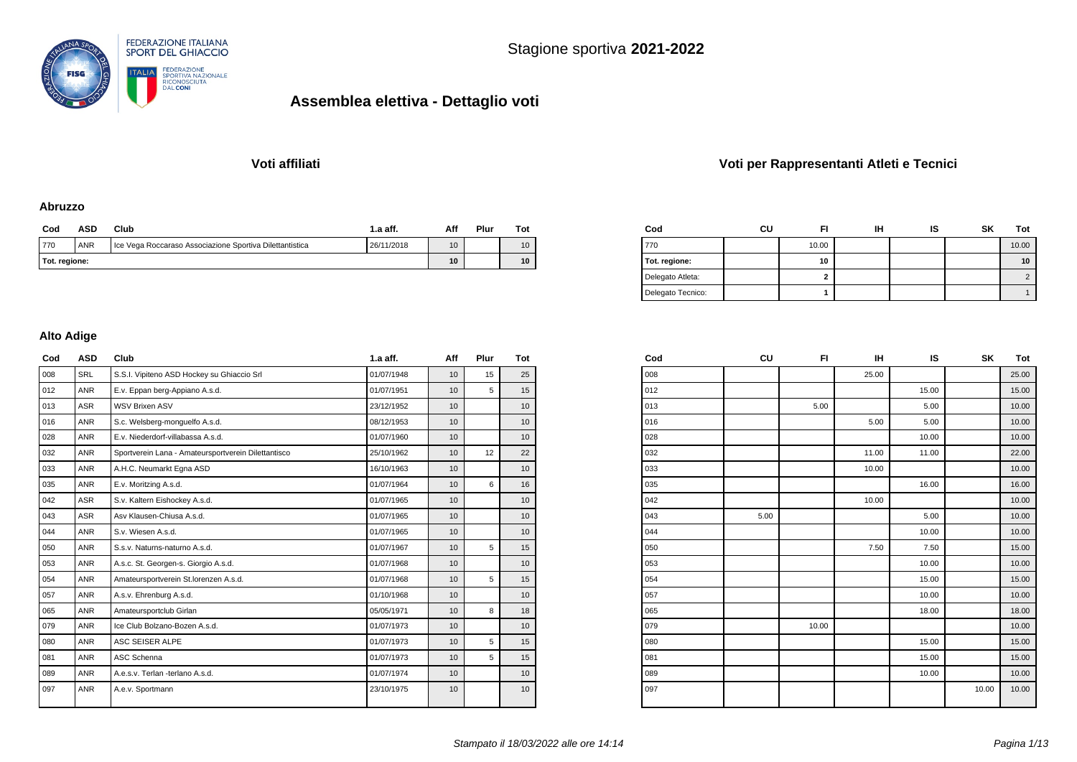

### **Voti affiliati Voti per Rappresentanti Atleti e Tecnici**

#### **Abruzzo**

| Cod           | ASD                                                                                  | Club | 1.a aff. | Aff             | Plur | $_{\rm rot}$ |
|---------------|--------------------------------------------------------------------------------------|------|----------|-----------------|------|--------------|
| 770           | <b>ANR</b><br>26/11/2018<br>Ice Vega Roccaraso Associazione Sportiva Dilettantistica |      |          |                 |      | 10           |
| Tot. regione: |                                                                                      | 10   |          | 10 <sup>°</sup> |      |              |

| Cod               | cu | FI     | IΗ | ١S | <b>SK</b> | Tot   |
|-------------------|----|--------|----|----|-----------|-------|
| 770               |    | 10.00  |    |    |           | 10.00 |
| Tot. regione:     |    | 10     |    |    |           | 10    |
| Delegato Atleta:  |    | ◠<br>◢ |    |    |           |       |
| Delegato Tecnico: |    |        |    |    |           |       |

#### **Alto Adige**

| Cod | <b>ASD</b> | Club                                                | $1.a$ aff. | Aff | Plur | Tot |
|-----|------------|-----------------------------------------------------|------------|-----|------|-----|
| 008 | <b>SRL</b> | S.S.I. Vipiteno ASD Hockey su Ghiaccio Srl          | 01/07/1948 | 10  | 15   | 25  |
| 012 | <b>ANR</b> | E.v. Eppan berg-Appiano A.s.d.                      | 01/07/1951 | 10  | 5    | 15  |
| 013 | <b>ASR</b> | <b>WSV Brixen ASV</b>                               | 23/12/1952 | 10  |      | 10  |
| 016 | <b>ANR</b> | S.c. Welsberg-monquelfo A.s.d.                      | 08/12/1953 | 10  |      | 10  |
| 028 | <b>ANR</b> | E.v. Niederdorf-villabassa A.s.d.                   | 01/07/1960 | 10  |      | 10  |
| 032 | <b>ANR</b> | Sportverein Lana - Amateursportverein Dilettantisco | 25/10/1962 | 10  | 12   | 22  |
| 033 | <b>ANR</b> | A.H.C. Neumarkt Egna ASD                            | 16/10/1963 | 10  |      | 10  |
| 035 | <b>ANR</b> | E.v. Moritzing A.s.d.                               | 01/07/1964 | 10  | 6    | 16  |
| 042 | <b>ASR</b> | S.v. Kaltern Eishockey A.s.d.                       | 01/07/1965 | 10  |      | 10  |
| 043 | <b>ASR</b> | Asy Klausen-Chiusa A.s.d.                           | 01/07/1965 | 10  |      | 10  |
| 044 | <b>ANR</b> | S.v. Wiesen A.s.d.                                  | 01/07/1965 | 10  |      | 10  |
| 050 | <b>ANR</b> | S.s.v. Naturns-naturno A.s.d.                       | 01/07/1967 | 10  | 5    | 15  |
| 053 | <b>ANR</b> | A.s.c. St. Georgen-s. Giorgio A.s.d.                | 01/07/1968 | 10  |      | 10  |
| 054 | <b>ANR</b> | Amateursportverein St.lorenzen A.s.d.               | 01/07/1968 | 10  | 5    | 15  |
| 057 | <b>ANR</b> | A.s.v. Ehrenburg A.s.d.                             | 01/10/1968 | 10  |      | 10  |
| 065 | <b>ANR</b> | Amateursportclub Girlan                             | 05/05/1971 | 10  | 8    | 18  |
| 079 | <b>ANR</b> | Ice Club Bolzano-Bozen A.s.d.                       | 01/07/1973 | 10  |      | 10  |
| 080 | <b>ANR</b> | ASC SEISER ALPE                                     | 01/07/1973 | 10  | 5    | 15  |
| 081 | <b>ANR</b> | ASC Schenna                                         | 01/07/1973 | 10  | 5    | 15  |
| 089 | <b>ANR</b> | A.e.s.v. Terlan -terlano A.s.d.                     | 01/07/1974 | 10  |      | 10  |
| 097 | <b>ANR</b> | A.e.v. Sportmann                                    | 23/10/1975 | 10  |      | 10  |

| Cod | CU   | FI    | IН    | IS    | SΚ    | Tot   |
|-----|------|-------|-------|-------|-------|-------|
| 008 |      |       | 25.00 |       |       | 25.00 |
| 012 |      |       |       | 15.00 |       | 15.00 |
| 013 |      | 5.00  |       | 5.00  |       | 10.00 |
| 016 |      |       | 5.00  | 5.00  |       | 10.00 |
| 028 |      |       |       | 10.00 |       | 10.00 |
| 032 |      |       | 11.00 | 11.00 |       | 22.00 |
| 033 |      |       | 10.00 |       |       | 10.00 |
| 035 |      |       |       | 16.00 |       | 16.00 |
| 042 |      |       | 10.00 |       |       | 10.00 |
| 043 | 5.00 |       |       | 5.00  |       | 10.00 |
| 044 |      |       |       | 10.00 |       | 10.00 |
| 050 |      |       | 7.50  | 7.50  |       | 15.00 |
| 053 |      |       |       | 10.00 |       | 10.00 |
| 054 |      |       |       | 15.00 |       | 15.00 |
| 057 |      |       |       | 10.00 |       | 10.00 |
| 065 |      |       |       | 18.00 |       | 18.00 |
| 079 |      | 10.00 |       |       |       | 10.00 |
| 080 |      |       |       | 15.00 |       | 15.00 |
| 081 |      |       |       | 15.00 |       | 15.00 |
| 089 |      |       |       | 10.00 |       | 10.00 |
| 097 |      |       |       |       | 10.00 | 10.00 |
|     |      |       |       |       |       |       |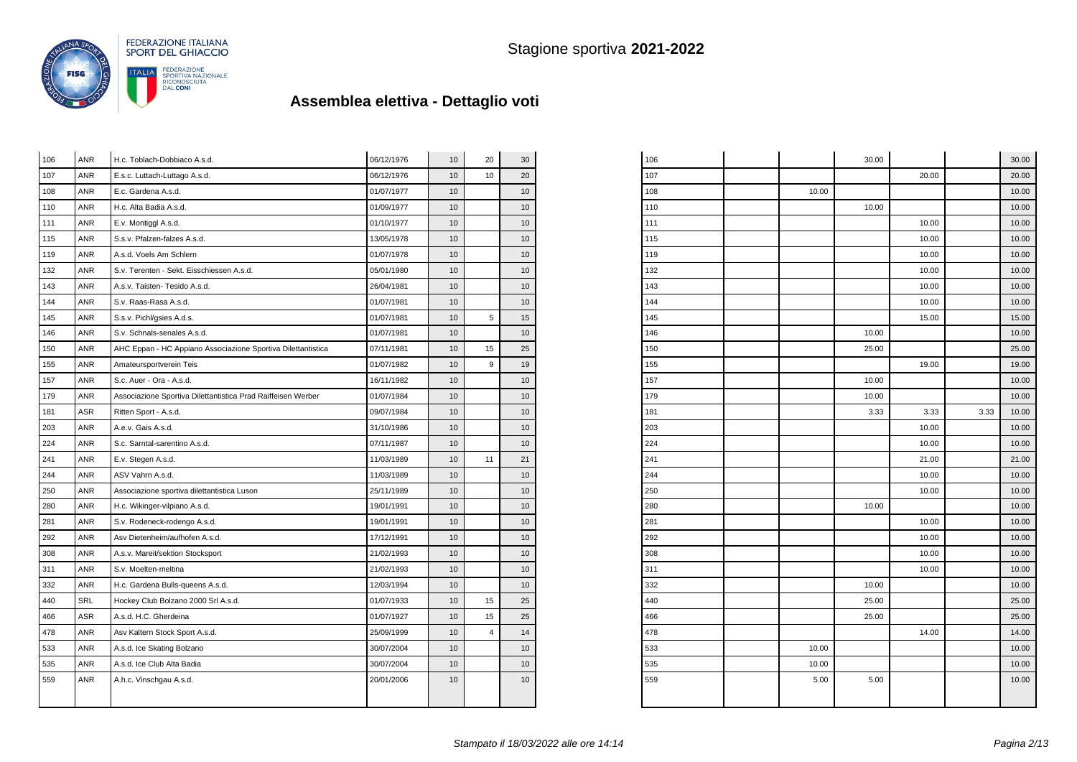

| 106 | <b>ANR</b> | H.c. Toblach-Dobbiaco A.s.d.                                 | 06/12/1976 | 10 | 20 | 30              |
|-----|------------|--------------------------------------------------------------|------------|----|----|-----------------|
| 107 | <b>ANR</b> | E.s.c. Luttach-Luttago A.s.d.                                | 06/12/1976 | 10 | 10 | 20              |
| 108 | <b>ANR</b> | E.c. Gardena A.s.d.                                          | 01/07/1977 | 10 |    | 10              |
| 110 | ANR        | H.c. Alta Badia A.s.d.                                       | 01/09/1977 | 10 |    | 10              |
| 111 | <b>ANR</b> | E.v. Montiggl A.s.d.                                         | 01/10/1977 | 10 |    | 10              |
| 115 | <b>ANR</b> | S.s.v. Pfalzen-falzes A.s.d.                                 | 13/05/1978 | 10 |    | 10              |
| 119 | <b>ANR</b> | A.s.d. Voels Am Schlern                                      | 01/07/1978 | 10 |    | 10              |
| 132 | <b>ANR</b> | S.v. Terenten - Sekt. Eisschiessen A.s.d.                    | 05/01/1980 | 10 |    | 10              |
| 143 | <b>ANR</b> | A.s.v. Taisten- Tesido A.s.d.                                | 26/04/1981 | 10 |    | 10              |
| 144 | <b>ANR</b> | S.v. Raas-Rasa A.s.d.                                        | 01/07/1981 | 10 |    | 10              |
| 145 | <b>ANR</b> | S.s.v. Pichl/gsies A.d.s.                                    | 01/07/1981 | 10 | 5  | 15              |
| 146 | <b>ANR</b> | S.v. Schnals-senales A.s.d.                                  | 01/07/1981 | 10 |    | 10              |
| 150 | <b>ANR</b> | AHC Eppan - HC Appiano Associazione Sportiva Dilettantistica | 07/11/1981 | 10 | 15 | 25              |
| 155 | <b>ANR</b> | Amateursportverein Teis                                      | 01/07/1982 | 10 | 9  | 19              |
| 157 | ANR        | S.c. Auer - Ora - A.s.d.                                     | 16/11/1982 | 10 |    | 10              |
| 179 | <b>ANR</b> | Associazione Sportiva Dilettantistica Prad Raiffeisen Werber | 01/07/1984 | 10 |    | 10              |
| 181 | <b>ASR</b> | Ritten Sport - A.s.d.                                        | 09/07/1984 | 10 |    | 10              |
| 203 | <b>ANR</b> | A.e.v. Gais A.s.d.                                           | 31/10/1986 | 10 |    | 10              |
| 224 | <b>ANR</b> | S.c. Sarntal-sarentino A.s.d.                                | 07/11/1987 | 10 |    | 10              |
| 241 | <b>ANR</b> | E.v. Stegen A.s.d.                                           | 11/03/1989 | 10 | 11 | 21              |
| 244 | <b>ANR</b> | ASV Vahrn A.s.d.                                             | 11/03/1989 | 10 |    | 10              |
| 250 | <b>ANR</b> | Associazione sportiva dilettantistica Luson                  | 25/11/1989 | 10 |    | 10              |
| 280 | ANR        | H.c. Wikinger-vilpiano A.s.d.                                | 19/01/1991 | 10 |    | 10              |
| 281 | ANR        | S.v. Rodeneck-rodengo A.s.d.                                 | 19/01/1991 | 10 |    | 10              |
| 292 | <b>ANR</b> | Asv Dietenheim/aufhofen A.s.d.                               | 17/12/1991 | 10 |    | 10              |
| 308 | <b>ANR</b> | A.s.v. Mareit/sektion Stocksport                             | 21/02/1993 | 10 |    | 10              |
| 311 | <b>ANR</b> | S.v. Moelten-meltina                                         | 21/02/1993 | 10 |    | 10              |
| 332 | <b>ANR</b> | H.c. Gardena Bulls-queens A.s.d.                             | 12/03/1994 | 10 |    | 10 <sup>1</sup> |
| 440 | <b>SRL</b> | Hockey Club Bolzano 2000 Srl A.s.d.                          | 01/07/1933 | 10 | 15 | 25              |
| 466 | <b>ASR</b> | A.s.d. H.C. Gherdeina                                        | 01/07/1927 | 10 | 15 | 25              |
| 478 | <b>ANR</b> | Asv Kaltern Stock Sport A.s.d.                               | 25/09/1999 | 10 | 4  | 14              |
| 533 | <b>ANR</b> | A.s.d. Ice Skating Bolzano                                   | 30/07/2004 | 10 |    | 10              |
| 535 | <b>ANR</b> | A.s.d. Ice Club Alta Badia                                   | 30/07/2004 | 10 |    | 10              |
| 559 | <b>ANR</b> | A.h.c. Vinschgau A.s.d.                                      | 20/01/2006 | 10 |    | 10              |
|     |            |                                                              |            |    |    |                 |
|     |            |                                                              |            |    |    |                 |

| 106 |       | 30.00 |       |      | 30.00 |
|-----|-------|-------|-------|------|-------|
| 107 |       |       | 20.00 |      | 20.00 |
| 108 | 10.00 |       |       |      | 10.00 |
| 110 |       | 10.00 |       |      | 10.00 |
| 111 |       |       | 10.00 |      | 10.00 |
| 115 |       |       | 10.00 |      | 10.00 |
| 119 |       |       | 10.00 |      | 10.00 |
| 132 |       |       | 10.00 |      | 10.00 |
| 143 |       |       | 10.00 |      | 10.00 |
| 144 |       |       | 10.00 |      | 10.00 |
| 145 |       |       | 15.00 |      | 15.00 |
| 146 |       | 10.00 |       |      | 10.00 |
| 150 |       | 25.00 |       |      | 25.00 |
| 155 |       |       | 19.00 |      | 19.00 |
| 157 |       | 10.00 |       |      | 10.00 |
| 179 |       | 10.00 |       |      | 10.00 |
| 181 |       | 3.33  | 3.33  | 3.33 | 10.00 |
| 203 |       |       | 10.00 |      | 10.00 |
| 224 |       |       | 10.00 |      | 10.00 |
| 241 |       |       | 21.00 |      | 21.00 |
| 244 |       |       | 10.00 |      | 10.00 |
| 250 |       |       | 10.00 |      | 10.00 |
| 280 |       | 10.00 |       |      | 10.00 |
| 281 |       |       | 10.00 |      | 10.00 |
| 292 |       |       | 10.00 |      | 10.00 |
| 308 |       |       | 10.00 |      | 10.00 |
| 311 |       |       | 10.00 |      | 10.00 |
| 332 |       | 10.00 |       |      | 10.00 |
| 440 |       | 25.00 |       |      | 25.00 |
| 466 |       | 25.00 |       |      | 25.00 |
| 478 |       |       | 14.00 |      | 14.00 |
| 533 | 10.00 |       |       |      | 10.00 |
| 535 | 10.00 |       |       |      | 10.00 |
| 559 | 5.00  | 5.00  |       |      | 10.00 |
|     |       |       |       |      |       |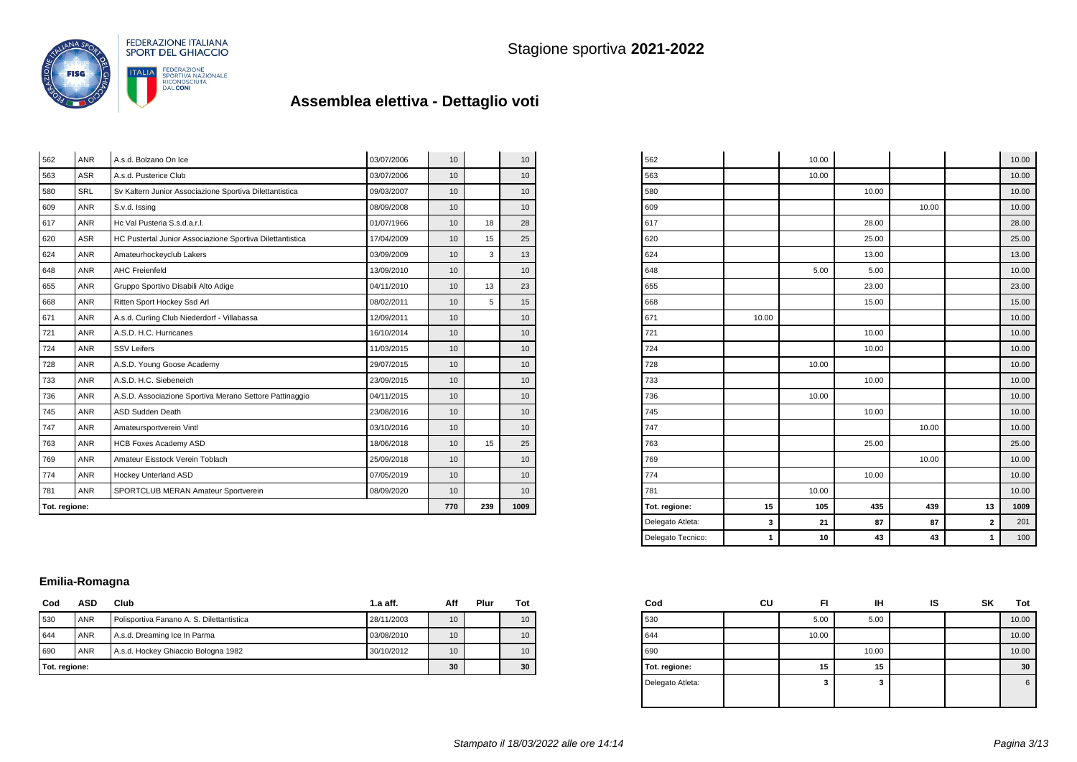

|     | Tot. regione: |                                                           |            |                 |    | 1009            |
|-----|---------------|-----------------------------------------------------------|------------|-----------------|----|-----------------|
| 781 | <b>ANR</b>    | SPORTCLUB MERAN Amateur Sportverein                       | 08/09/2020 | 10              |    | 10              |
| 774 | <b>ANR</b>    | Hockey Unterland ASD                                      | 07/05/2019 | 10 <sup>1</sup> |    | 10              |
| 769 | <b>ANR</b>    | Amateur Eisstock Verein Toblach                           | 25/09/2018 | 10              |    | 10              |
| 763 | <b>ANR</b>    | <b>HCB Foxes Academy ASD</b>                              | 18/06/2018 | 10              | 15 | 25              |
| 747 | <b>ANR</b>    | Amateursportverein Vintl                                  | 03/10/2016 | 10 <sup>1</sup> |    | 10              |
| 745 | <b>ANR</b>    | ASD Sudden Death                                          | 23/08/2016 | 10 <sup>1</sup> |    | 10 <sup>1</sup> |
| 736 | <b>ANR</b>    | A.S.D. Associazione Sportiva Merano Settore Pattinaggio   | 04/11/2015 | 10              |    | 10              |
| 733 | <b>ANR</b>    | A.S.D. H.C. Siebeneich                                    | 23/09/2015 | 10 <sup>1</sup> |    | 10              |
| 728 | <b>ANR</b>    | A.S.D. Young Goose Academy                                | 29/07/2015 | 10              |    | 10              |
| 724 | <b>ANR</b>    | <b>SSV Leifers</b>                                        | 11/03/2015 | 10              |    | 10              |
| 721 | <b>ANR</b>    | A.S.D. H.C. Hurricanes                                    | 16/10/2014 | 10 <sup>1</sup> |    | 10              |
| 671 | <b>ANR</b>    | A.s.d. Curling Club Niederdorf - Villabassa               | 12/09/2011 | 10 <sup>1</sup> |    | 10 <sup>1</sup> |
| 668 | <b>ANR</b>    | Ritten Sport Hockey Ssd Arl                               | 08/02/2011 | 10              | 5  | 15              |
| 655 | <b>ANR</b>    | Gruppo Sportivo Disabili Alto Adige                       | 04/11/2010 | 10              | 13 | 23              |
| 648 | <b>ANR</b>    | <b>AHC Freienfeld</b>                                     | 13/09/2010 | 10              |    | 10              |
| 624 | <b>ANR</b>    | Amateurhockeyclub Lakers                                  | 03/09/2009 | 10              | 3  | 13              |
| 620 | <b>ASR</b>    | HC Pustertal Junior Associazione Sportiva Dilettantistica | 17/04/2009 | 10              | 15 | 25              |
| 617 | <b>ANR</b>    | Hc Val Pusteria S.s.d.a.r.l.                              | 01/07/1966 | 10              | 18 | 28              |
| 609 | <b>ANR</b>    | S.v.d. Issing                                             | 08/09/2008 | 10              |    | 10              |
| 580 | SRL           | Sv Kaltern Junior Associazione Sportiva Dilettantistica   | 09/03/2007 | 10 <sup>1</sup> |    | 10              |
| 563 | <b>ASR</b>    | A.s.d. Pusterice Club                                     | 03/07/2006 | 10              |    | 10              |
| 562 | <b>ANR</b>    | A.s.d. Bolzano On Ice                                     | 03/07/2006 | 10              |    | 10              |

| Delegato Tecnico: | 1     | 10    | 43    | 43    | 1                       | 100   |
|-------------------|-------|-------|-------|-------|-------------------------|-------|
| Delegato Atleta:  | 3     | 21    | 87    | 87    | $\overline{\mathbf{2}}$ | 201   |
| Tot. regione:     | 15    | 105   | 435   | 439   | 13                      | 1009  |
| 781               |       | 10.00 |       |       |                         | 10.00 |
| 774               |       |       | 10.00 |       |                         | 10.00 |
| 769               |       |       |       | 10.00 |                         | 10.00 |
| 763               |       |       | 25.00 |       |                         | 25.00 |
| 747               |       |       |       | 10.00 |                         | 10.00 |
| 745               |       |       | 10.00 |       |                         | 10.00 |
| 736               |       | 10.00 |       |       |                         | 10.00 |
| 733               |       |       | 10.00 |       |                         | 10.00 |
| 728               |       | 10.00 |       |       |                         | 10.00 |
| 724               |       |       | 10.00 |       |                         | 10.00 |
| 721               |       |       | 10.00 |       |                         | 10.00 |
| 671               | 10.00 |       |       |       |                         | 10.00 |
| 668               |       |       | 15.00 |       |                         | 15.00 |
| 655               |       |       | 23.00 |       |                         | 23.00 |
| 648               |       | 5.00  | 5.00  |       |                         | 10.00 |
| 624               |       |       | 13.00 |       |                         | 13.00 |
| 620               |       |       | 25.00 |       |                         | 25.00 |
| 617               |       |       | 28.00 |       |                         | 28.00 |
| 609               |       |       |       | 10.00 |                         | 10.00 |
| 580               |       |       | 10.00 |       |                         | 10.00 |
| 563               |       | 10.00 |       |       |                         | 10.00 |
| 562               |       | 10.00 |       |       |                         | 10.00 |

### **Emilia-Romagna**

| Cod | <b>ASD</b>    | Club                                      | $1.a$ aff. | Aff | Plur | Tot             |
|-----|---------------|-------------------------------------------|------------|-----|------|-----------------|
| 530 | <b>ANR</b>    | Polisportiva Fanano A. S. Dilettantistica | 28/11/2003 | 10  |      | 10 <sup>1</sup> |
| 644 | <b>ANR</b>    | A.s.d. Dreaming Ice In Parma              | 03/08/2010 | 10  |      | 10 <sup>1</sup> |
| 690 | <b>ANR</b>    | A.s.d. Hockey Ghiaccio Bologna 1982       | 30/10/2012 | 10  |      | 10 <sup>1</sup> |
|     | Tot. regione: |                                           |            |     |      | 30              |

| Cod              | CU | FI    | ıн    | IS | <b>SK</b> | Tot   |
|------------------|----|-------|-------|----|-----------|-------|
| 530              |    | 5.00  | 5.00  |    |           | 10.00 |
| 644              |    | 10.00 |       |    |           | 10.00 |
| 690              |    |       | 10.00 |    |           | 10.00 |
| Tot. regione:    |    | 15    | 15    |    |           | 30    |
| Delegato Atleta: |    | 3     | 3     |    |           | 6     |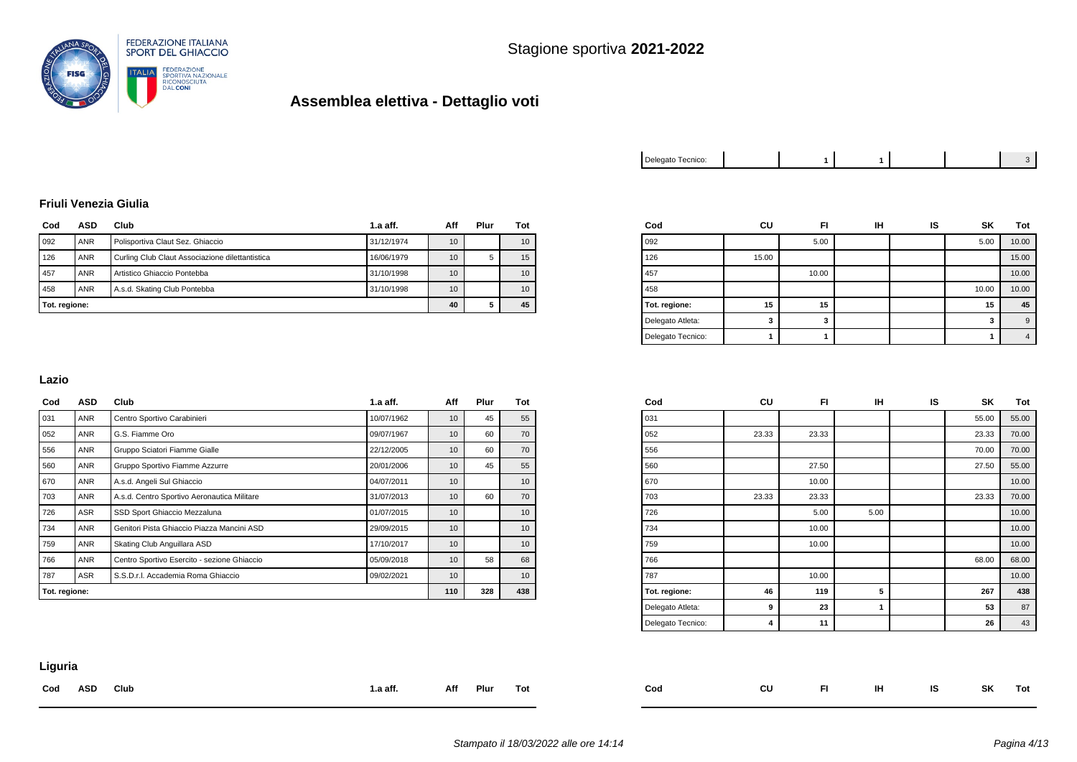

| Delegato Tecnico: |  |  |  |  |  |  |
|-------------------|--|--|--|--|--|--|
|-------------------|--|--|--|--|--|--|

#### **Friuli Venezia Giulia**

| Cod | ASD           | Club<br>1.a aff.                                |            | Aff | Plur | Tot |
|-----|---------------|-------------------------------------------------|------------|-----|------|-----|
| 092 | <b>ANR</b>    | Polisportiva Claut Sez. Ghiaccio                | 31/12/1974 | 10  |      | 10  |
| 126 | <b>ANR</b>    | Curling Club Claut Associazione dilettantistica | 16/06/1979 | 10  | 5    | 15  |
| 457 | <b>ANR</b>    | Artistico Ghiaccio Pontebba                     | 31/10/1998 | 10  |      | 10  |
| 458 | <b>ANR</b>    | A.s.d. Skating Club Pontebba                    | 31/10/1998 | 10  |      | 10  |
|     | Tot. regione: |                                                 |            |     |      | 45  |

| Cod               | CU    | FI    | IН | IS | SΚ    | Tot            |
|-------------------|-------|-------|----|----|-------|----------------|
| 092               |       | 5.00  |    |    | 5.00  | 10.00          |
| 126               | 15.00 |       |    |    |       | 15.00          |
| 457               |       | 10.00 |    |    |       | 10.00          |
| 458               |       |       |    |    | 10.00 | 10.00          |
| Tot. regione:     | 15    | 15    |    |    | 15    | 45             |
| Delegato Atleta:  | 3     | 3     |    |    | 3     | 9              |
| Delegato Tecnico: |       |       |    |    |       | $\overline{4}$ |

#### **Lazio**

| Cod           | ASD        | Club                                        | $1.a$ aff. | Aff | Plur | Tot             |
|---------------|------------|---------------------------------------------|------------|-----|------|-----------------|
| 031           | ANR        | Centro Sportivo Carabinieri                 | 10/07/1962 | 10  | 45   | 55              |
| 052           | <b>ANR</b> | G.S. Fiamme Oro                             | 09/07/1967 | 10  | 60   | 70              |
| 556           | ANR        | Gruppo Sciatori Fiamme Gialle               | 22/12/2005 | 10  | 60   | 70              |
| 560           | <b>ANR</b> | Gruppo Sportivo Fiamme Azzurre              | 20/01/2006 | 10  | 45   | 55              |
| 670           | <b>ANR</b> | A.s.d. Angeli Sul Ghiaccio                  | 04/07/2011 | 10  |      | 10              |
| 703           | <b>ANR</b> | A.s.d. Centro Sportivo Aeronautica Militare | 31/07/2013 | 10  | 60   | 70              |
| 726           | ASR        | SSD Sport Ghiaccio Mezzaluna                | 01/07/2015 | 10  |      | 10 <sup>1</sup> |
| 734           | ANR        | Genitori Pista Ghiaccio Piazza Mancini ASD  | 29/09/2015 | 10  |      | 10              |
| 759           | ANR        | Skating Club Anguillara ASD                 | 17/10/2017 | 10  |      | 10              |
| 766           | <b>ANR</b> | Centro Sportivo Esercito - sezione Ghiaccio | 05/09/2018 | 10  | 58   | 68              |
| 787           | ASR        | S.S.D.r.I. Accademia Roma Ghiaccio          | 09/02/2021 | 10  |      | 10 <sup>1</sup> |
| Tot. regione: |            |                                             | 110        | 328 | 438  |                 |

| Cod               | CU    | FI    | IH   | IS | SK    | Tot   |
|-------------------|-------|-------|------|----|-------|-------|
| 031               |       |       |      |    | 55.00 | 55.00 |
| 052               | 23.33 | 23.33 |      |    | 23.33 | 70.00 |
| 556               |       |       |      |    | 70.00 | 70.00 |
| 560               |       | 27.50 |      |    | 27.50 | 55.00 |
| 670               |       | 10.00 |      |    |       | 10.00 |
| 703               | 23.33 | 23.33 |      |    | 23.33 | 70.00 |
| 726               |       | 5.00  | 5.00 |    |       | 10.00 |
| 734               |       | 10.00 |      |    |       | 10.00 |
| 759               |       | 10.00 |      |    |       | 10.00 |
| 766               |       |       |      |    | 68.00 | 68.00 |
| 787               |       | 10.00 |      |    |       | 10.00 |
| Tot. regione:     | 46    | 119   | 5    |    | 267   | 438   |
| Delegato Atleta:  | 9     | 23    | 1    |    | 53    | 87    |
| Delegato Tecnico: | 4     | 11    |      |    | 26    | 43    |

### **Liguria**

| Cod | ASD | Club | l.a aff. | Aff | Plur | Tot | Cod | CU | FL. | IH. | <b>IS</b> | SK | Tot |
|-----|-----|------|----------|-----|------|-----|-----|----|-----|-----|-----------|----|-----|
|     |     |      |          |     |      |     |     |    |     |     |           |    |     |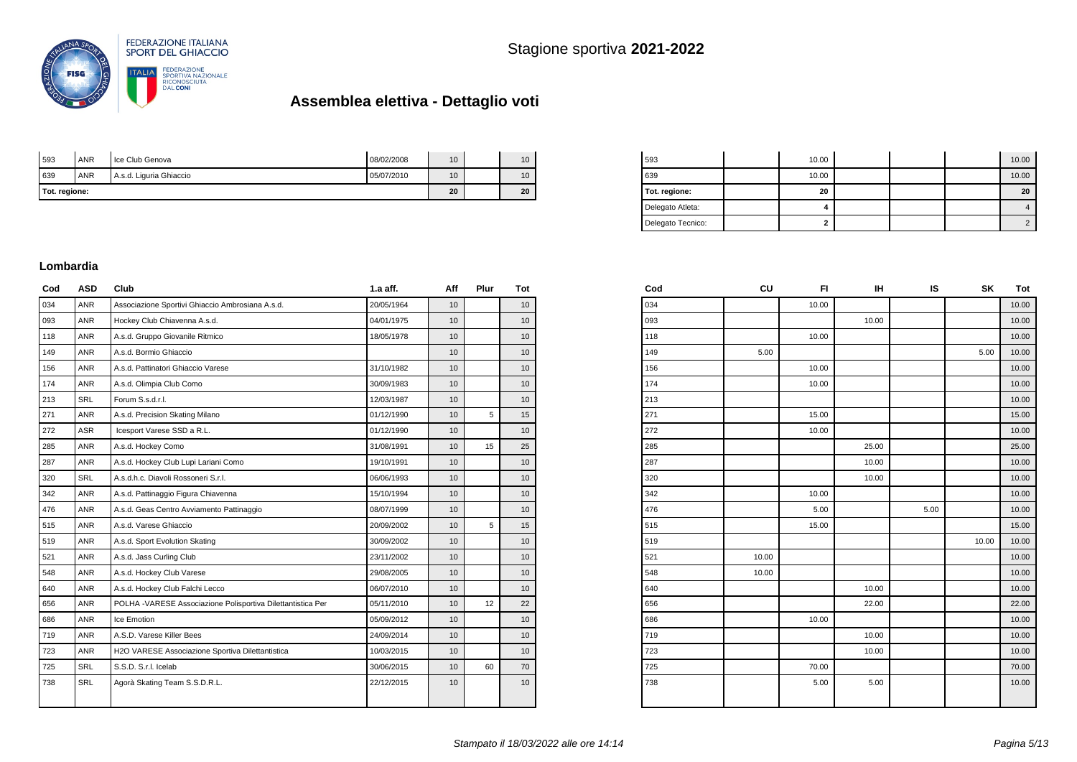

| Tot. regione: |            | 20                      | 20         |    |    |
|---------------|------------|-------------------------|------------|----|----|
| 639           | <b>ANR</b> | A.s.d. Liguria Ghiaccio | 05/07/2010 | 10 | 10 |
| 593           | <b>ANR</b> | I Ice Club Genova       | 08/02/2008 | 10 | 10 |

| 593               | 10.00 |  | 10.00 |
|-------------------|-------|--|-------|
| 639               | 10.00 |  | 10.00 |
| Tot. regione:     | 20    |  | 20    |
| Delegato Atleta:  |       |  |       |
| Delegato Tecnico: | ≘     |  |       |

#### **Lombardia**

| Cod | ASD        | Club                                                        | $1.a$ aff. | Aff             | Plur            | Tot |
|-----|------------|-------------------------------------------------------------|------------|-----------------|-----------------|-----|
| 034 | <b>ANR</b> | Associazione Sportivi Ghiaccio Ambrosiana A.s.d.            | 20/05/1964 | 10              |                 | 10  |
| 093 | ANR        | Hockey Club Chiavenna A.s.d.                                | 04/01/1975 | 10              |                 | 10  |
| 118 | <b>ANR</b> | A.s.d. Gruppo Giovanile Ritmico                             | 18/05/1978 | 10              |                 | 10  |
| 149 | <b>ANR</b> | A.s.d. Bormio Ghiaccio                                      |            | 10              |                 | 10  |
| 156 | <b>ANR</b> | A.s.d. Pattinatori Ghiaccio Varese                          | 31/10/1982 | 10              |                 | 10  |
| 174 | <b>ANR</b> | A.s.d. Olimpia Club Como                                    | 30/09/1983 | 10              |                 | 10  |
| 213 | <b>SRL</b> | Forum S.s.d.r.l.                                            | 12/03/1987 | 10              |                 | 10  |
| 271 | <b>ANR</b> | A.s.d. Precision Skating Milano                             | 01/12/1990 | 10              | 5               | 15  |
| 272 | <b>ASR</b> | Icesport Varese SSD a R.L.                                  | 01/12/1990 | 10              |                 | 10  |
| 285 | <b>ANR</b> | A.s.d. Hockey Como                                          | 31/08/1991 | 10              | 15              | 25  |
| 287 | ANR        | A.s.d. Hockey Club Lupi Lariani Como                        | 19/10/1991 | 10              |                 | 10  |
| 320 | <b>SRL</b> | A.s.d.h.c. Diavoli Rossoneri S.r.l.                         | 06/06/1993 | 10              |                 | 10  |
| 342 | <b>ANR</b> | A.s.d. Pattinaggio Figura Chiavenna                         | 15/10/1994 | 10              |                 | 10  |
| 476 | <b>ANR</b> | A.s.d. Geas Centro Avviamento Pattinaggio                   | 08/07/1999 | 10              |                 | 10  |
| 515 | <b>ANR</b> | A.s.d. Varese Ghiaccio                                      | 20/09/2002 | 10              | 5               | 15  |
| 519 | <b>ANR</b> | A.s.d. Sport Evolution Skating                              | 30/09/2002 | 10              |                 | 10  |
| 521 | <b>ANR</b> | A.s.d. Jass Curling Club                                    | 23/11/2002 | 10 <sup>1</sup> |                 | 10  |
| 548 | <b>ANR</b> | A.s.d. Hockey Club Varese                                   | 29/08/2005 | 10              |                 | 10  |
| 640 | <b>ANR</b> | A.s.d. Hockey Club Falchi Lecco                             | 06/07/2010 | 10              |                 | 10  |
| 656 | <b>ANR</b> | POLHA -VARESE Associazione Polisportiva Dilettantistica Per | 05/11/2010 | 10              | 12 <sup>°</sup> | 22  |
| 686 | ANR        | Ice Emotion                                                 | 05/09/2012 | 10 <sup>1</sup> |                 | 10  |
| 719 | <b>ANR</b> | A.S.D. Varese Killer Bees                                   | 24/09/2014 | 10              |                 | 10  |
| 723 | <b>ANR</b> | H2O VARESE Associazione Sportiva Dilettantistica            | 10/03/2015 | 10              |                 | 10  |
| 725 | <b>SRL</b> | S.S.D. S.r.I. Icelab                                        | 30/06/2015 | 10              | 60              | 70  |
| 738 | SRL        | Agorà Skating Team S.S.D.R.L.                               | 22/12/2015 | 10              |                 | 10  |
|     |            |                                                             |            |                 |                 |     |

| Cod | CU    | FI.   | IН    | IS   | SΚ    | Tot   |
|-----|-------|-------|-------|------|-------|-------|
| 034 |       | 10.00 |       |      |       | 10.00 |
| 093 |       |       | 10.00 |      |       | 10.00 |
| 118 |       | 10.00 |       |      |       | 10.00 |
| 149 | 5.00  |       |       |      | 5.00  | 10.00 |
| 156 |       | 10.00 |       |      |       | 10.00 |
| 174 |       | 10.00 |       |      |       | 10.00 |
| 213 |       |       |       |      |       | 10.00 |
| 271 |       | 15.00 |       |      |       | 15.00 |
| 272 |       | 10.00 |       |      |       | 10.00 |
| 285 |       |       | 25.00 |      |       | 25.00 |
| 287 |       |       | 10.00 |      |       | 10.00 |
| 320 |       |       | 10.00 |      |       | 10.00 |
| 342 |       | 10.00 |       |      |       | 10.00 |
| 476 |       | 5.00  |       | 5.00 |       | 10.00 |
| 515 |       | 15.00 |       |      |       | 15.00 |
| 519 |       |       |       |      | 10.00 | 10.00 |
| 521 | 10.00 |       |       |      |       | 10.00 |
| 548 | 10.00 |       |       |      |       | 10.00 |
| 640 |       |       | 10.00 |      |       | 10.00 |
| 656 |       |       | 22.00 |      |       | 22.00 |
| 686 |       | 10.00 |       |      |       | 10.00 |
| 719 |       |       | 10.00 |      |       | 10.00 |
| 723 |       |       | 10.00 |      |       | 10.00 |
| 725 |       | 70.00 |       |      |       | 70.00 |
| 738 |       | 5.00  | 5.00  |      |       | 10.00 |
|     |       |       |       |      |       |       |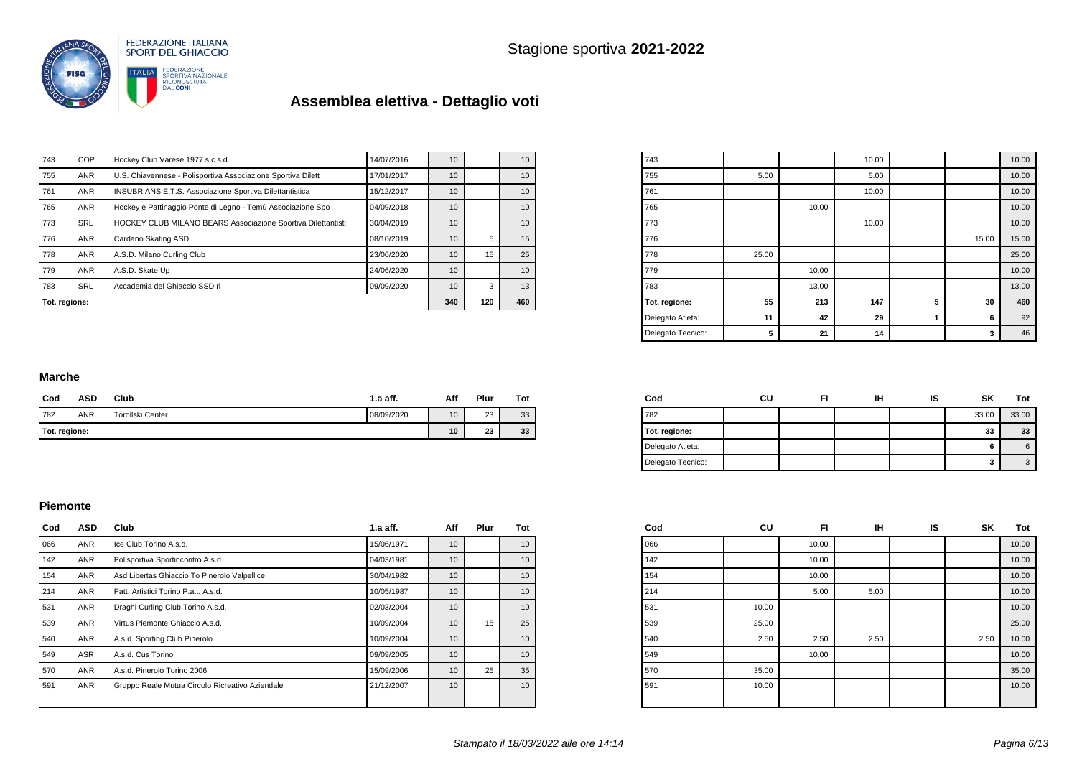

| Tot. regione: |            |                                                              | 340        | 120 | 460 |                 |
|---------------|------------|--------------------------------------------------------------|------------|-----|-----|-----------------|
| 783           | <b>SRL</b> | Accademia del Ghiaccio SSD rl                                | 09/09/2020 | 10  | 3   | 13              |
| 779           | <b>ANR</b> | A.S.D. Skate Up                                              | 24/06/2020 | 10  |     | 10 <sup>1</sup> |
| 778           | <b>ANR</b> | A.S.D. Milano Curling Club                                   | 23/06/2020 | 10  | 15  | 25              |
| 776           | <b>ANR</b> | Cardano Skating ASD                                          | 08/10/2019 | 10  | 5   | 15              |
| 773           | <b>SRL</b> | HOCKEY CLUB MILANO BEARS Associazione Sportiva Dilettantisti | 30/04/2019 | 10  |     | 10 <sup>°</sup> |
| 765           | <b>ANR</b> | Hockey e Pattinaggio Ponte di Legno - Temù Associazione Spo  | 04/09/2018 | 10  |     | 10 <sup>1</sup> |
| 761           | <b>ANR</b> | INSUBRIANS E.T.S. Associazione Sportiva Dilettantistica      | 15/12/2017 | 10  |     | 10 <sup>°</sup> |
| 755           | <b>ANR</b> | U.S. Chiavennese - Polisportiva Associazione Sportiva Dilett | 17/01/2017 | 10  |     | 10 <sup>°</sup> |
| 743           | COP        | Hockey Club Varese 1977 s.c.s.d.                             | 14/07/2016 | 10  |     | 10 <sup>1</sup> |

| 743               |       |       | 10.00 |   |       | 10.00 |
|-------------------|-------|-------|-------|---|-------|-------|
| 755               | 5.00  |       | 5.00  |   |       | 10.00 |
| 761               |       |       | 10.00 |   |       | 10.00 |
| 765               |       | 10.00 |       |   |       | 10.00 |
| 773               |       |       | 10.00 |   |       | 10.00 |
| 776               |       |       |       |   | 15.00 | 15.00 |
| 778               | 25.00 |       |       |   |       | 25.00 |
| 779               |       | 10.00 |       |   |       | 10.00 |
| 783               |       | 13.00 |       |   |       | 13.00 |
| Tot. regione:     | 55    | 213   | 147   | 5 | 30    | 460   |
| Delegato Atleta:  | 11    | 42    | 29    | 1 | 6     | 92    |
| Delegato Tecnico: | 5     | 21    | 14    |   | 3     | 46    |

#### **Marche**

| Cod           | ASD        | Club             | 1.a aff.   | Aff | Plur | Tot |
|---------------|------------|------------------|------------|-----|------|-----|
| 782           | <b>ANR</b> | Torollski Center | 08/09/2020 | 10  | 23   | 33  |
| Tot. regione: |            |                  |            | 10  | 23   | 33  |

| Cod               | CU | ıн | IS | SK    | Tot   |
|-------------------|----|----|----|-------|-------|
| 782               |    |    |    | 33.00 | 33.00 |
| Tot. regione:     |    |    |    | 33    | 33    |
| Delegato Atleta:  |    |    |    | 6     | 6     |
| Delegato Tecnico: |    |    |    | 3     |       |

#### **Piemonte**

| Cod | <b>ASD</b> | Club                                            | $1.a$ aff. | Aff             | Plur | Tot |
|-----|------------|-------------------------------------------------|------------|-----------------|------|-----|
| 066 | <b>ANR</b> | Ice Club Torino A.s.d.                          | 15/06/1971 | 10              |      | 10  |
| 142 | <b>ANR</b> | Polisportiva Sportincontro A.s.d.               | 04/03/1981 | 10              |      | 10  |
| 154 | <b>ANR</b> | Asd Libertas Ghiaccio To Pinerolo Valpellice    | 30/04/1982 | 10 <sup>1</sup> |      | 10  |
| 214 | <b>ANR</b> | Patt. Artistici Torino P.a.t. A.s.d.            | 10/05/1987 | 10              |      | 10  |
| 531 | <b>ANR</b> | Draghi Curling Club Torino A.s.d.               | 02/03/2004 | 10              |      | 10  |
| 539 | <b>ANR</b> | Virtus Piemonte Ghiaccio A.s.d.                 | 10/09/2004 | 10              | 15   | 25  |
| 540 | <b>ANR</b> | A.s.d. Sporting Club Pinerolo                   | 10/09/2004 | 10              |      | 10  |
| 549 | <b>ASR</b> | A.s.d. Cus Torino                               | 09/09/2005 | 10              |      | 10  |
| 570 | <b>ANR</b> | A.s.d. Pinerolo Torino 2006                     | 15/09/2006 | 10              | 25   | 35  |
| 591 | <b>ANR</b> | Gruppo Reale Mutua Circolo Ricreativo Aziendale | 21/12/2007 | 10              |      | 10  |

| Cod | CU    | FI    | IН   | IS | SΚ   | Tot   |
|-----|-------|-------|------|----|------|-------|
| 066 |       | 10.00 |      |    |      | 10.00 |
| 142 |       | 10.00 |      |    |      | 10.00 |
| 154 |       | 10.00 |      |    |      | 10.00 |
| 214 |       | 5.00  | 5.00 |    |      | 10.00 |
| 531 | 10.00 |       |      |    |      | 10.00 |
| 539 | 25.00 |       |      |    |      | 25.00 |
| 540 | 2.50  | 2.50  | 2.50 |    | 2.50 | 10.00 |
| 549 |       | 10.00 |      |    |      | 10.00 |
| 570 | 35.00 |       |      |    |      | 35.00 |
| 591 | 10.00 |       |      |    |      | 10.00 |
|     |       |       |      |    |      |       |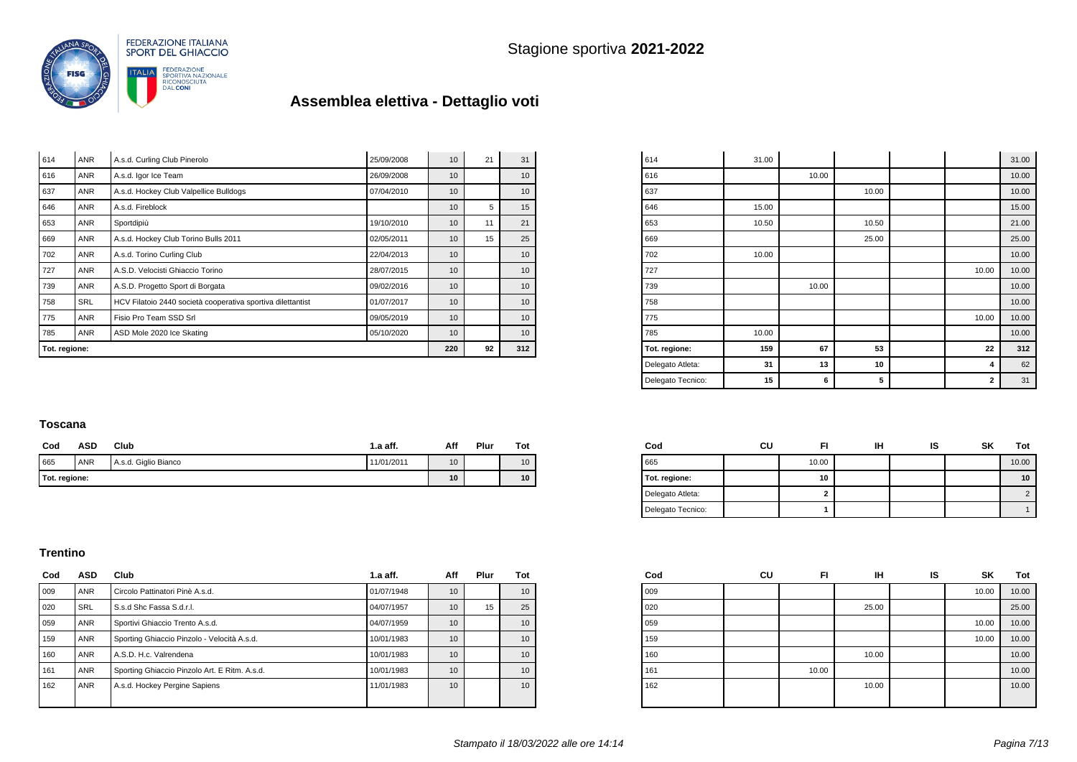

| Tot. regione: |            | 220                                                         | 92         | 312             |    |    |
|---------------|------------|-------------------------------------------------------------|------------|-----------------|----|----|
| 785           | <b>ANR</b> | ASD Mole 2020 Ice Skating                                   | 05/10/2020 | 10              |    | 10 |
| 775           | <b>ANR</b> | Fisio Pro Team SSD Srl                                      | 09/05/2019 | 10              |    | 10 |
| 758           | <b>SRL</b> | HCV Filatoio 2440 società cooperativa sportiva dilettantist | 01/07/2017 | 10              |    | 10 |
| 739           | <b>ANR</b> | A.S.D. Progetto Sport di Borgata                            | 09/02/2016 | 10              |    | 10 |
| 727           | <b>ANR</b> | A.S.D. Velocisti Ghiaccio Torino                            | 28/07/2015 | 10              |    | 10 |
| 702           | <b>ANR</b> | A.s.d. Torino Curling Club                                  | 22/04/2013 | 10              |    | 10 |
| 669           | <b>ANR</b> | A.s.d. Hockey Club Torino Bulls 2011                        | 02/05/2011 | 10              | 15 | 25 |
| 653           | ANR        | Sportdipiù                                                  | 19/10/2010 | 10 <sup>1</sup> | 11 | 21 |
| 646           | <b>ANR</b> | A.s.d. Fireblock                                            |            | 10              | 5  | 15 |
| 637           | <b>ANR</b> | A.s.d. Hockey Club Valpellice Bulldogs                      | 07/04/2010 | 10              |    | 10 |
| 616           | <b>ANR</b> | A.s.d. Igor Ice Team                                        | 26/09/2008 | 10 <sup>1</sup> |    | 10 |
| 614           | <b>ANR</b> | A.s.d. Curling Club Pinerolo                                | 25/09/2008 | 10              | 21 | 31 |

| 614               | 31.00 |       |       |              | 31.00 |
|-------------------|-------|-------|-------|--------------|-------|
| 616               |       | 10.00 |       |              | 10.00 |
| 637               |       |       | 10.00 |              | 10.00 |
| 646               | 15.00 |       |       |              | 15.00 |
| 653               | 10.50 |       | 10.50 |              | 21.00 |
| 669               |       |       | 25.00 |              | 25.00 |
| 702               | 10.00 |       |       |              | 10.00 |
| 727               |       |       |       | 10.00        | 10.00 |
| 739               |       | 10.00 |       |              | 10.00 |
| 758               |       |       |       |              | 10.00 |
| 775               |       |       |       | 10.00        | 10.00 |
| 785               | 10.00 |       |       |              | 10.00 |
| Tot. regione:     | 159   | 67    | 53    | 22           | 312   |
| Delegato Atleta:  | 31    | 13    | 10    | 4            | 62    |
| Delegato Tecnico: | 15    | 6     | 5     | $\mathbf{2}$ | 31    |

 $\sim$ 

#### **Toscana**

| Cod | ASD           | Club                 | 1.a aff.   | Aff             | Plur | Tot |
|-----|---------------|----------------------|------------|-----------------|------|-----|
| 665 | <b>ANR</b>    | A.s.d. Giglio Bianco | 11/01/2011 | 10 <sup>°</sup> |      | 10  |
|     | Tot. regione: | 10 <sup>°</sup>      |            | 10              |      |     |

| Cod               | CU | FI    | ін | ıs | SK | Tot   |
|-------------------|----|-------|----|----|----|-------|
| 665               |    | 10.00 |    |    |    | 10.00 |
| Tot. regione:     |    | 10    |    |    |    | 10    |
| Delegato Atleta:  |    |       |    |    |    |       |
| Delegato Tecnico: |    |       |    |    |    |       |

#### **Trentino**

| Cod | ASD        | Club                                          | $1.a$ aff. | Aff             | Plur | Tot |
|-----|------------|-----------------------------------------------|------------|-----------------|------|-----|
| 009 | ANR        | Circolo Pattinatori Pinè A.s.d.               | 01/07/1948 | 10              |      | 10  |
| 020 | <b>SRL</b> | S.s.d Shc Fassa S.d.r.l.                      | 04/07/1957 | 10              | 15   | 25  |
| 059 | <b>ANR</b> | Sportivi Ghiaccio Trento A.s.d.               | 04/07/1959 | 10              |      | 10  |
| 159 | <b>ANR</b> | Sporting Ghiaccio Pinzolo - Velocità A.s.d.   | 10/01/1983 | 10 <sup>1</sup> |      | 10  |
| 160 | <b>ANR</b> | A.S.D. H.c. Valrendena                        | 10/01/1983 | 10 <sup>1</sup> |      | 10  |
| 161 | <b>ANR</b> | Sporting Ghiaccio Pinzolo Art. E Ritm. A.s.d. | 10/01/1983 | 10              |      | 10  |
| 162 | <b>ANR</b> | A.s.d. Hockey Pergine Sapiens                 | 11/01/1983 | 10              |      | 10  |
|     |            |                                               |            |                 |      |     |

| Cod | CU | FI    | ін    | IS | SK    | Tot   |
|-----|----|-------|-------|----|-------|-------|
| 009 |    |       |       |    | 10.00 | 10.00 |
| 020 |    |       | 25.00 |    |       | 25.00 |
| 059 |    |       |       |    | 10.00 | 10.00 |
| 159 |    |       |       |    | 10.00 | 10.00 |
| 160 |    |       | 10.00 |    |       | 10.00 |
| 161 |    | 10.00 |       |    |       | 10.00 |
| 162 |    |       | 10.00 |    |       | 10.00 |
|     |    |       |       |    |       |       |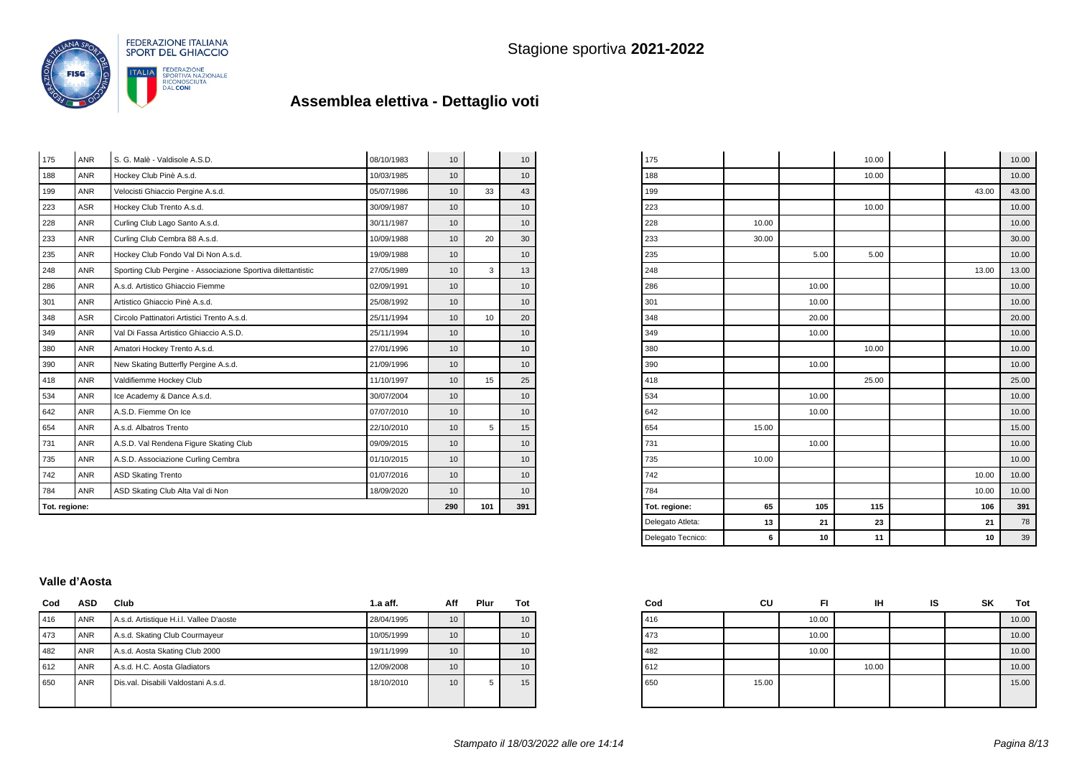

| Tot. regione: |            | 290                                                          | 101        | 391             |    |                 |
|---------------|------------|--------------------------------------------------------------|------------|-----------------|----|-----------------|
| 784           | <b>ANR</b> | ASD Skating Club Alta Val di Non                             | 18/09/2020 | 10              |    | 10              |
| 742           | <b>ANR</b> | <b>ASD Skating Trento</b>                                    | 01/07/2016 | 10 <sup>1</sup> |    | 10              |
| 735           | <b>ANR</b> | A.S.D. Associazione Curling Cembra                           | 01/10/2015 | 10              |    | 10              |
| 731           | <b>ANR</b> | A.S.D. Val Rendena Figure Skating Club                       | 09/09/2015 | 10              |    | 10              |
| 654           | <b>ANR</b> | A.s.d. Albatros Trento                                       | 22/10/2010 | 10              | 5  | 15              |
| 642           | <b>ANR</b> | A.S.D. Fiemme On Ice                                         | 07/07/2010 | 10              |    | 10              |
| 534           | <b>ANR</b> | Ice Academy & Dance A.s.d.                                   | 30/07/2004 | 10 <sup>1</sup> |    | 10              |
| 418           | <b>ANR</b> | Valdifiemme Hockey Club                                      | 11/10/1997 | 10              | 15 | 25              |
| 390           | <b>ANR</b> | New Skating Butterfly Pergine A.s.d.                         | 21/09/1996 | 10 <sup>1</sup> |    | 10              |
| 380           | <b>ANR</b> | Amatori Hockey Trento A.s.d.                                 | 27/01/1996 | 10              |    | 10              |
| 349           | <b>ANR</b> | Val Di Fassa Artistico Ghiaccio A.S.D.                       | 25/11/1994 | 10              |    | 10              |
| 348           | <b>ASR</b> | Circolo Pattinatori Artistici Trento A.s.d.                  | 25/11/1994 | 10              | 10 | 20              |
| 301           | <b>ANR</b> | Artistico Ghiaccio Pinè A.s.d.                               | 25/08/1992 | 10 <sup>1</sup> |    | 10              |
| 286           | <b>ANR</b> | A.s.d. Artistico Ghiaccio Fiemme                             | 02/09/1991 | 10 <sup>1</sup> |    | 10              |
| 248           | <b>ANR</b> | Sporting Club Pergine - Associazione Sportiva dilettantistic | 27/05/1989 | 10              | 3  | 13              |
| 235           | <b>ANR</b> | Hockey Club Fondo Val Di Non A.s.d.                          | 19/09/1988 | 10              |    | 10 <sup>1</sup> |
| 233           | <b>ANR</b> | Curling Club Cembra 88 A.s.d.                                | 10/09/1988 | 10              | 20 | 30              |
| 228           | <b>ANR</b> | Curling Club Lago Santo A.s.d.                               | 30/11/1987 | 10 <sup>1</sup> |    | 10              |
| 223           | <b>ASR</b> | Hockey Club Trento A.s.d.                                    | 30/09/1987 | 10 <sup>1</sup> |    | 10              |
| 199           | <b>ANR</b> | Velocisti Ghiaccio Pergine A.s.d.                            | 05/07/1986 | 10              | 33 | 43              |
| 188           | <b>ANR</b> | Hockey Club Pinè A.s.d.                                      | 10/03/1985 | 10              |    | 10              |
| 175           | <b>ANR</b> | S. G. Malè - Valdisole A.S.D.                                | 08/10/1983 | 10              |    | 10              |

| Delegato Tecnico: | 6     | 10    | 11    | 10    | 39    |
|-------------------|-------|-------|-------|-------|-------|
| Delegato Atleta:  | 13    | 21    | 23    | 21    | 78    |
| Tot. regione:     | 65    | 105   | 115   | 106   | 391   |
| 784               |       |       |       | 10.00 | 10.00 |
| 742               |       |       |       | 10.00 | 10.00 |
| 735               | 10.00 |       |       |       | 10.00 |
| 731               |       | 10.00 |       |       | 10.00 |
| 654               | 15.00 |       |       |       | 15.00 |
| 642               |       | 10.00 |       |       | 10.00 |
| 534               |       | 10.00 |       |       | 10.00 |
| 418               |       |       | 25.00 |       | 25.00 |
| 390               |       | 10.00 |       |       | 10.00 |
| 380               |       |       | 10.00 |       | 10.00 |
| 349               |       | 10.00 |       |       | 10.00 |
| 348               |       | 20.00 |       |       | 20.00 |
| 301               |       | 10.00 |       |       | 10.00 |
| 286               |       | 10.00 |       |       | 10.00 |
| 248               |       |       |       | 13.00 | 13.00 |
| 235               |       | 5.00  | 5.00  |       | 10.00 |
| 233               | 30.00 |       |       |       | 30.00 |
| 228               | 10.00 |       |       |       | 10.00 |
| 223               |       |       | 10.00 |       | 10.00 |
| 199               |       |       |       | 43.00 | 43.00 |
| 188               |       |       | 10.00 |       | 10.00 |
| 175               |       |       | 10.00 |       | 10.00 |

 $\overline{a}$ 

#### **Valle d'Aosta**

| Cod | <b>ASD</b> | Club                                    | $1.a$ aff. | Aff              | Plur | Tot |
|-----|------------|-----------------------------------------|------------|------------------|------|-----|
| 416 | <b>ANR</b> | A.s.d. Artistique H.i.l. Vallee D'aoste | 28/04/1995 | 10 <sup>10</sup> |      | 10  |
| 473 | <b>ANR</b> | A.s.d. Skating Club Courmayeur          | 10/05/1999 | 10               |      | 10  |
| 482 | <b>ANR</b> | A.s.d. Aosta Skating Club 2000          | 19/11/1999 | 10 <sup>10</sup> |      | 10  |
| 612 | <b>ANR</b> | A.s.d. H.C. Aosta Gladiators            | 12/09/2008 | 10               |      | 10  |
| 650 | ANR        | Dis.val. Disabili Valdostani A.s.d.     | 18/10/2010 | 10               | 5    | 15  |
|     |            |                                         |            |                  |      |     |

| Cod | CU    | FI    | IΗ    | IS | SK | <b>Tot</b> |
|-----|-------|-------|-------|----|----|------------|
| 416 |       | 10.00 |       |    |    | 10.00      |
| 473 |       | 10.00 |       |    |    | 10.00      |
| 482 |       | 10.00 |       |    |    | 10.00      |
| 612 |       |       | 10.00 |    |    | 10.00      |
| 650 | 15.00 |       |       |    |    | 15.00      |
|     |       |       |       |    |    |            |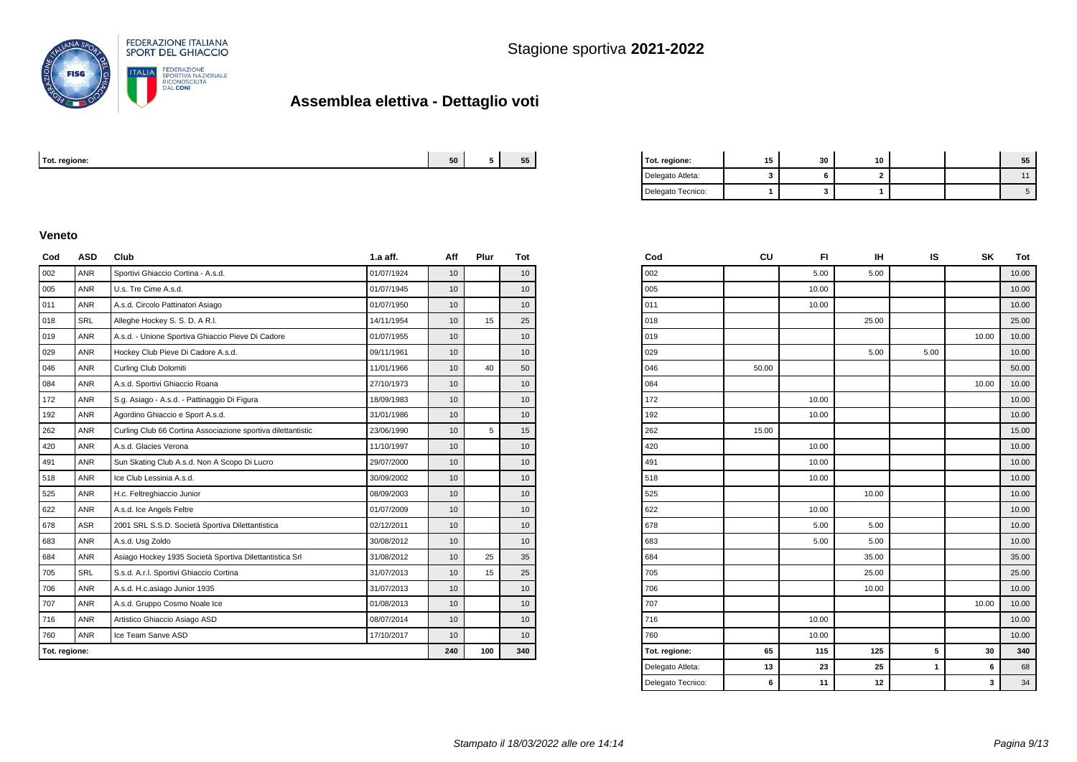

| Tot. regione: | --<br>cn. | $- -$<br>- - - - | enm | $ -$<br>. .<br>-311 | . .<br>10 |  |  |
|---------------|-----------|------------------|-----|---------------------|-----------|--|--|
|               |           |                  |     |                     |           |  |  |

| Tot. regione:     | 15 | 30 | 10 |  | 55 |
|-------------------|----|----|----|--|----|
| Delegato Atleta:  |    |    |    |  |    |
| Delegato Tecnico: |    |    |    |  |    |

#### **Veneto**

| Cod           | <b>ASD</b> | Club                                                         | $1.a$ aff. | Aff             | Plur | Tot              |
|---------------|------------|--------------------------------------------------------------|------------|-----------------|------|------------------|
| 002           | <b>ANR</b> | Sportivi Ghiaccio Cortina - A.s.d.                           | 01/07/1924 | 10              |      | 10               |
| 005           | <b>ANR</b> | U.s. Tre Cime A.s.d.                                         | 01/07/1945 | 10 <sup>1</sup> |      | 10               |
| 011           | <b>ANR</b> | A.s.d. Circolo Pattinatori Asiago                            | 01/07/1950 | 10              |      | 10 <sup>10</sup> |
| 018           | <b>SRL</b> | Alleghe Hockey S. S. D. A R.I.                               | 14/11/1954 | 10              | 15   | 25               |
| 019           | <b>ANR</b> | A.s.d. - Unione Sportiva Ghiaccio Pieve Di Cadore            | 01/07/1955 | 10              |      | 10 <sup>°</sup>  |
| 029           | <b>ANR</b> | Hockey Club Pieve Di Cadore A.s.d.                           | 09/11/1961 | 10              |      | 10 <sup>10</sup> |
| 046           | <b>ANR</b> | Curling Club Dolomiti                                        | 11/01/1966 | 10              | 40   | 50               |
| 084           | <b>ANR</b> | A.s.d. Sportivi Ghiaccio Roana                               | 27/10/1973 | 10              |      | 10               |
| 172           | <b>ANR</b> | S.g. Asiago - A.s.d. - Pattinaggio Di Figura                 | 18/09/1983 | 10              |      | 10               |
| 192           | <b>ANR</b> | Agordino Ghiaccio e Sport A.s.d.                             | 31/01/1986 | 10              |      | 10               |
| 262           | <b>ANR</b> | Curling Club 66 Cortina Associazione sportiva dilettantistic | 23/06/1990 | 10 <sup>1</sup> | 5    | 15               |
| 420           | <b>ANR</b> | A.s.d. Glacies Verona                                        | 11/10/1997 | 10              |      | 10               |
| 491           | <b>ANR</b> | Sun Skating Club A.s.d. Non A Scopo Di Lucro                 | 29/07/2000 | 10 <sup>1</sup> |      | 10               |
| 518           | <b>ANR</b> | Ice Club Lessinia A.s.d.                                     | 30/09/2002 | 10              |      | 10 <sup>10</sup> |
| 525           | <b>ANR</b> | H.c. Feltreghiaccio Junior                                   | 08/09/2003 | 10              |      | 10 <sup>°</sup>  |
| 622           | <b>ANR</b> | A.s.d. Ice Angels Feltre                                     | 01/07/2009 | 10              |      | 10               |
| 678           | <b>ASR</b> | 2001 SRL S.S.D. Società Sportiva Dilettantistica             | 02/12/2011 | 10              |      | 10               |
| 683           | <b>ANR</b> | A.s.d. Usq Zoldo                                             | 30/08/2012 | 10              |      | 10               |
| 684           | <b>ANR</b> | Asiago Hockey 1935 Società Sportiva Dilettantistica Srl      | 31/08/2012 | 10              | 25   | 35               |
| 705           | <b>SRL</b> | S.s.d. A.r.l. Sportivi Ghiaccio Cortina                      | 31/07/2013 | 10              | 15   | 25               |
| 706           | <b>ANR</b> | A.s.d. H.c.asiago Junior 1935                                | 31/07/2013 | 10              |      | 10 <sup>10</sup> |
| 707           | ANR        | A.s.d. Gruppo Cosmo Noale Ice                                | 01/08/2013 | 10 <sup>1</sup> |      | 10 <sup>10</sup> |
| 716           | <b>ANR</b> | Artistico Ghiaccio Asiago ASD                                | 08/07/2014 | 10              |      | 10 <sup>10</sup> |
| 760           | <b>ANR</b> | Ice Team Sanve ASD                                           | 17/10/2017 | 10              |      | 10 <sup>1</sup>  |
| Tot. regione: |            |                                                              |            | 240             | 100  | 340              |

| Cod               | CU    | FI.   | ıн    | IS   | SΚ    | Tot   |
|-------------------|-------|-------|-------|------|-------|-------|
| 002               |       | 5.00  | 5.00  |      |       | 10.00 |
| 005               |       | 10.00 |       |      |       | 10.00 |
| 011               |       | 10.00 |       |      |       | 10.00 |
| 018               |       |       | 25.00 |      |       | 25.00 |
| 019               |       |       |       |      | 10.00 | 10.00 |
| 029               |       |       | 5.00  | 5.00 |       | 10.00 |
| 046               | 50.00 |       |       |      |       | 50.00 |
| 084               |       |       |       |      | 10.00 | 10.00 |
| 172               |       | 10.00 |       |      |       | 10.00 |
| 192               |       | 10.00 |       |      |       | 10.00 |
| 262               | 15.00 |       |       |      |       | 15.00 |
| 420               |       | 10.00 |       |      |       | 10.00 |
| 491               |       | 10.00 |       |      |       | 10.00 |
| 518               |       | 10.00 |       |      |       | 10.00 |
| 525               |       |       | 10.00 |      |       | 10.00 |
| 622               |       | 10.00 |       |      |       | 10.00 |
| 678               |       | 5.00  | 5.00  |      |       | 10.00 |
| 683               |       | 5.00  | 5.00  |      |       | 10.00 |
| 684               |       |       | 35.00 |      |       | 35.00 |
| 705               |       |       | 25.00 |      |       | 25.00 |
| 706               |       |       | 10.00 |      |       | 10.00 |
| 707               |       |       |       |      | 10.00 | 10.00 |
| 716               |       | 10.00 |       |      |       | 10.00 |
| 760               |       | 10.00 |       |      |       | 10.00 |
| Tot. regione:     | 65    | 115   | 125   | 5    | 30    | 340   |
| Delegato Atleta:  | 13    | 23    | 25    | 1    | 6     | 68    |
| Delegato Tecnico: | 6     | 11    | 12    |      | 3     | 34    |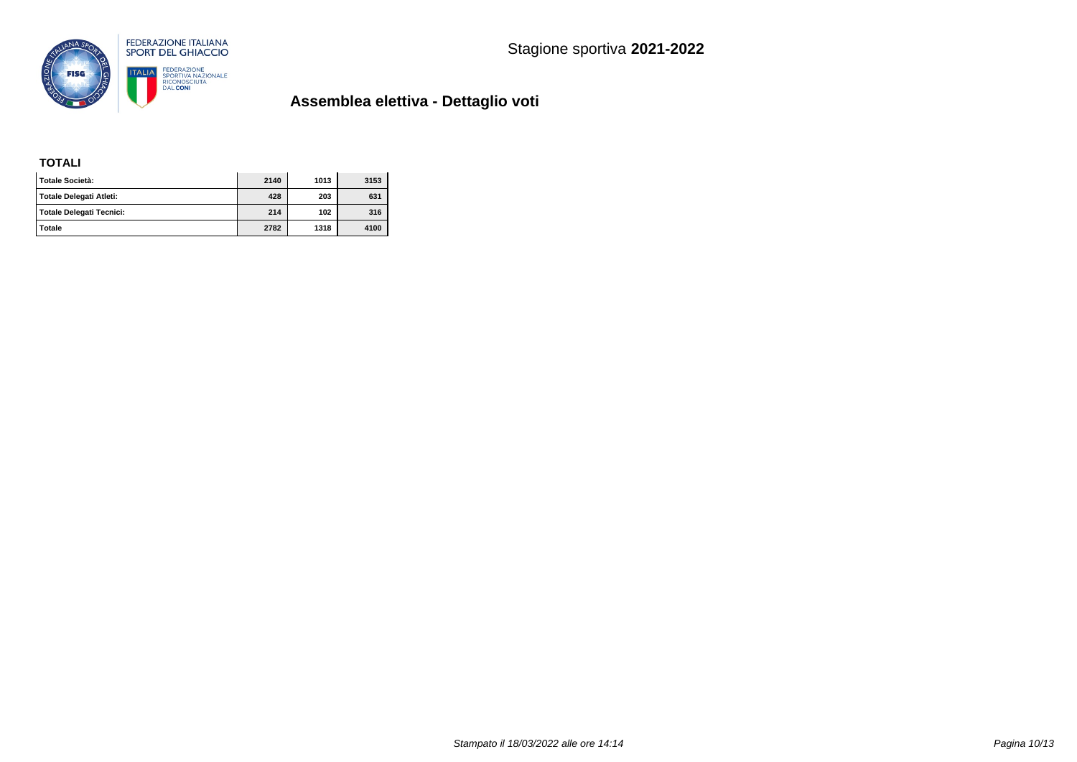

### **TOTALI**

| l Totale Società:        | 2140 | 1013 | 3153 |
|--------------------------|------|------|------|
| Totale Delegati Atleti:  | 428  | 203  | 631  |
| Totale Delegati Tecnici: | 214  | 102  | 316  |
| Totale                   | 2782 | 1318 | 4100 |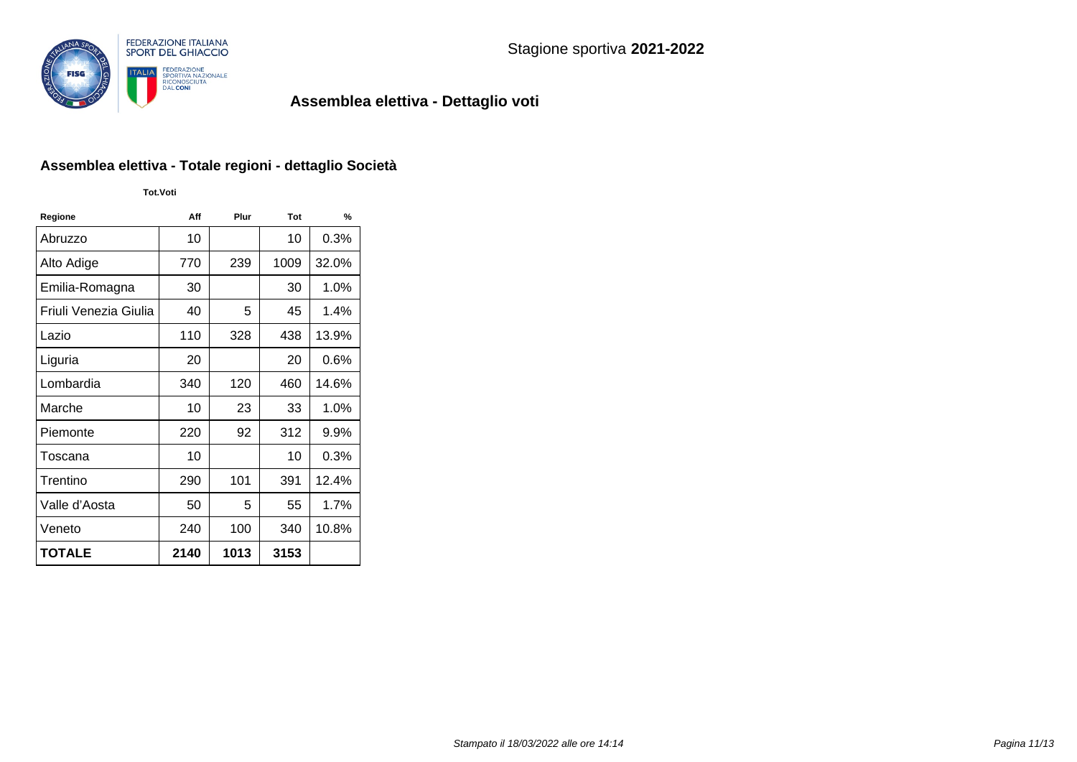

### **Assemblea elettiva - Totale regioni - dettaglio Società**

**Tot.Voti**

| Regione               | Aff  | Plur | Tot  | %       |
|-----------------------|------|------|------|---------|
| Abruzzo               | 10   |      | 10   | 0.3%    |
| Alto Adige            | 770  | 239  | 1009 | 32.0%   |
| Emilia-Romagna        | 30   |      | 30   | 1.0%    |
| Friuli Venezia Giulia | 40   | 5    | 45   | 1.4%    |
| Lazio                 | 110  | 328  | 438  | 13.9%   |
| Liguria               | 20   |      | 20   | $0.6\%$ |
| Lombardia             | 340  | 120  | 460  | 14.6%   |
| Marche                | 10   | 23   | 33   | 1.0%    |
| Piemonte              | 220  | 92   | 312  | 9.9%    |
| Toscana               | 10   |      | 10   | 0.3%    |
| Trentino              | 290  | 101  | 391  | 12.4%   |
| Valle d'Aosta         | 50   | 5    | 55   | 1.7%    |
| Veneto                | 240  | 100  | 340  | 10.8%   |
| <b>TOTALE</b>         | 2140 | 1013 | 3153 |         |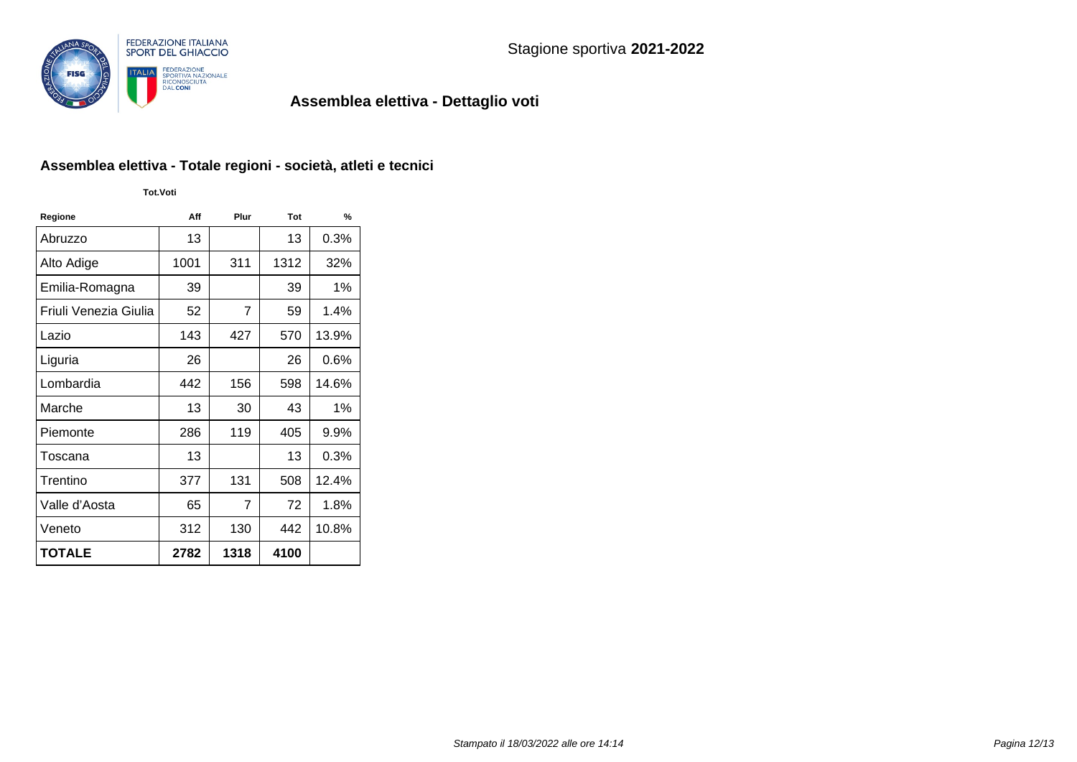

# **Assemblea elettiva - Totale regioni - società, atleti e tecnici**

**Tot.Voti**

| Regione               | Aff  | Plur | Tot  | %       |
|-----------------------|------|------|------|---------|
| Abruzzo               | 13   |      | 13   | 0.3%    |
| Alto Adige            | 1001 | 311  | 1312 | 32%     |
| Emilia-Romagna        | 39   |      | 39   | 1%      |
| Friuli Venezia Giulia | 52   | 7    | 59   | 1.4%    |
| Lazio                 | 143  | 427  | 570  | 13.9%   |
| Liguria               | 26   |      | 26   | $0.6\%$ |
| Lombardia             | 442  | 156  | 598  | 14.6%   |
| Marche                | 13   | 30   | 43   | 1%      |
| Piemonte              | 286  | 119  | 405  | $9.9\%$ |
| Toscana               | 13   |      | 13   | 0.3%    |
| Trentino              | 377  | 131  | 508  | 12.4%   |
| Valle d'Aosta         | 65   | 7    | 72   | 1.8%    |
| Veneto                | 312  | 130  | 442  | 10.8%   |
| <b>TOTALE</b>         | 2782 | 1318 | 4100 |         |